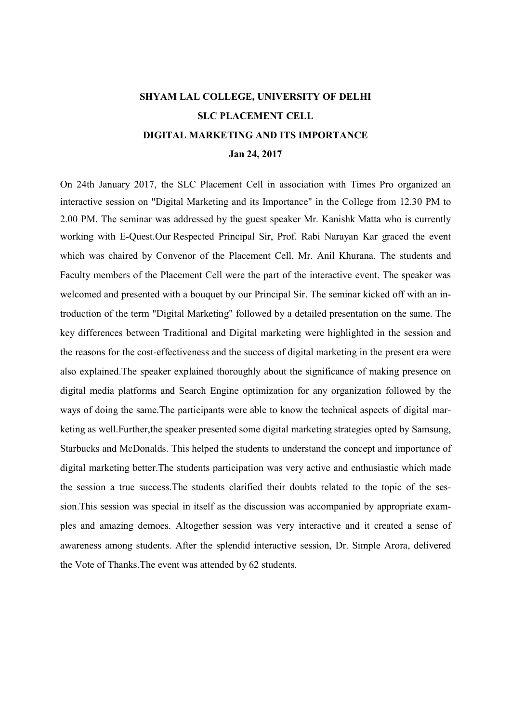## SHYAM LAL COLLEGE, UNIVERSITY OF DELHI SLC PLACEMENT CELL DIGITAL MARKETING AND ITS IMPORTANCE Jan 24, 2017

On 24th January 2017, the SLC Placement Cell in association with Times Pro organized an interactive session on "Digital Marketing and its Importance" in the College from 12.30 PM to 2.00 PM. The seminar was addressed by the guest speaker Mr. Kanishk Matta who is currently working with E-Quest.Our Respected Principal Sir, Prof. Rabi Narayan Kar graced the event which was chaired by Convenor of the Placement Cell, Mr. Anil Khurana. The students and Faculty members of the Placement Cell were the part of the interactive event. The speaker was welcomed and presented with a bouquet by our Principal Sir. The seminar kicked off with an introduction of the term "Digital Marketing" followed by a detailed presentation on the same. The key differences between Traditional and Digital marketing were highlighted in the session and the reasons for the cost-effectiveness and the success of digital marketing in the present era were also explained.The speaker explained thoroughly about the significance of making presence on digital media platforms and Search Engine optimization for any organization followed by the ways of doing the same.The participants were able to know the technical aspects of digital marketing as well.Further,the speaker presented some digital marketing strategies opted by Samsung, Starbucks and McDonalds. This helped the students to understand the concept and importance of digital marketing better.The students participation was very active and enthusiastic which made the session a true success.The students clarified their doubts related to the topic of the session.This session was special in itself as the discussion was accompanied by appropriate examples and amazing demoes. Altogether session was very interactive and it created a sense of awareness among students. After the splendid interactive session, Dr. Simple Arora, delivered the Vote of Thanks.The event was attended by 62 students.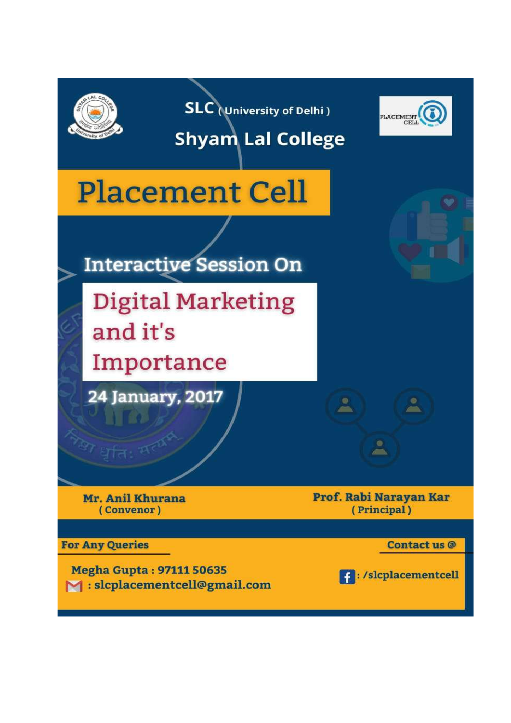